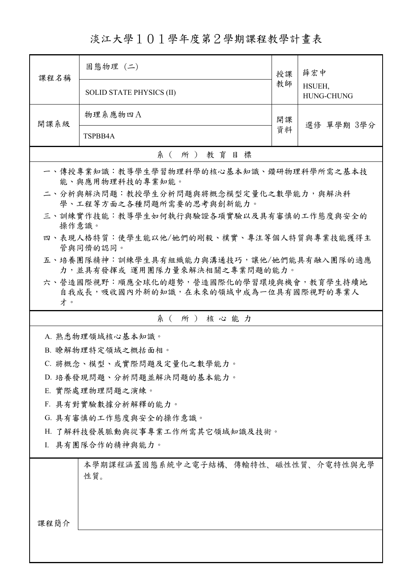淡江大學101學年度第2學期課程教學計畫表

|                                                                   | 固態物理(二)                                                                               | 授課 | 薛宏中                         |  |  |  |
|-------------------------------------------------------------------|---------------------------------------------------------------------------------------|----|-----------------------------|--|--|--|
| 課程名稱                                                              | <b>SOLID STATE PHYSICS (II)</b>                                                       |    | HSUEH,<br><b>HUNG-CHUNG</b> |  |  |  |
| 開課系級                                                              | 物理系應物四A                                                                               | 開課 |                             |  |  |  |
|                                                                   | TSPBB4A                                                                               |    | 選修 單學期 3學分                  |  |  |  |
| 系(所)教育目標                                                          |                                                                                       |    |                             |  |  |  |
| 一、傳授專業知識:教導學生學習物理科學的核心基本知識、鑽研物理科學所需之基本技<br>能、與應用物理科技的專業知能。        |                                                                                       |    |                             |  |  |  |
| 二、分析與解決問題:教授學生分析問題與將概念模型定量化之數學能力,與解決科<br>學、工程等方面之各種問題所需要的思考與創新能力。 |                                                                                       |    |                             |  |  |  |
| 三、訓練實作技能:教導學生如何執行與驗證各項實驗以及具有審慎的工作態度與安全的                           |                                                                                       |    |                             |  |  |  |
|                                                                   | 操作意識。<br>四、表現人格特質:使學生能以他/她們的剛毅、樸實、專注等個人特質與專業技能獲得主                                     |    |                             |  |  |  |
|                                                                   | 管與同儕的認同。<br>五、培養團隊精神:訓練學生具有組織能力與溝通技巧,讓他/她們能具有融入團隊的適應<br>力,並具有發揮或 運用團隊力量來解決相關之專業問題的能力。 |    |                             |  |  |  |
|                                                                   | 六、營造國際視野:順應全球化的趨勢,營造國際化的學習環境與機會,教育學生持續地                                               |    |                             |  |  |  |
|                                                                   | 自我成長,吸收國內外新的知識,在未來的領域中成為一位具有國際視野的專業人                                                  |    |                             |  |  |  |
| 才。                                                                |                                                                                       |    |                             |  |  |  |
|                                                                   | 系(所)核心能力                                                                              |    |                             |  |  |  |
|                                                                   | A. 熟悉物理領域核心基本知識。                                                                      |    |                             |  |  |  |
|                                                                   | B. 瞭解物理特定領域之概括面相。                                                                     |    |                             |  |  |  |
|                                                                   | C. 將概念、模型、或實際問題及定量化之數學能力。                                                             |    |                             |  |  |  |
| D. 培養發現問題、分析問題並解決問題的基本能力。                                         |                                                                                       |    |                             |  |  |  |
| E. 實際處理物理問題之演練。                                                   |                                                                                       |    |                             |  |  |  |
| F. 具有對實驗數據分析解釋的能力。                                                |                                                                                       |    |                             |  |  |  |
| G. 具有審慎的工作態度與安全的操作意識。                                             |                                                                                       |    |                             |  |  |  |
| H. 了解科技發展脈動與從事專業工作所需其它領域知識及技術。                                    |                                                                                       |    |                             |  |  |  |
|                                                                   | I. 具有團隊合作的精神與能力。                                                                      |    |                             |  |  |  |
|                                                                   | 本學期課程涵蓋固態系統中之電子結構、傳輸特性、磁性性質、介電特性與光學<br>性質。                                            |    |                             |  |  |  |
|                                                                   |                                                                                       |    |                             |  |  |  |
| 課程簡介                                                              |                                                                                       |    |                             |  |  |  |
|                                                                   |                                                                                       |    |                             |  |  |  |
|                                                                   |                                                                                       |    |                             |  |  |  |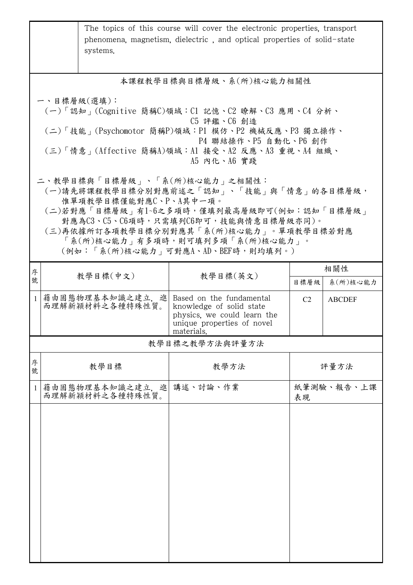|              | The topics of this course will cover the electronic properties, transport<br>phenomena, magnetism, dielectric, and optical properties of solid-state<br>systems.                                                                                                                                                 |                                    |                                                                                                                                 |                  |                           |  |  |  |  |
|--------------|------------------------------------------------------------------------------------------------------------------------------------------------------------------------------------------------------------------------------------------------------------------------------------------------------------------|------------------------------------|---------------------------------------------------------------------------------------------------------------------------------|------------------|---------------------------|--|--|--|--|
|              | 本課程教學目標與目標層級、系(所)核心能力相關性                                                                                                                                                                                                                                                                                         |                                    |                                                                                                                                 |                  |                           |  |  |  |  |
|              | 一、目標層級(選填):<br>(一)「認知」(Cognitive 簡稱C)領域:C1 記憶、C2 瞭解、C3 應用、C4 分析、<br>C5 評鑑、C6 創造<br>(二)「技能 <sub>」</sub> (Psychomotor 簡稱P)領域:P1 模仿、P2 機械反應、P3 獨立操作、<br>P4 聯結操作、P5 自動化、P6 創作<br>(三)「情意」(Affective 簡稱A)領域:Al 接受、A2 反應、A3 重視、A4 組織、<br>A5 内化、A6 實踐                                                                    |                                    |                                                                                                                                 |                  |                           |  |  |  |  |
|              | 二、教學目標與「目標層級」、「系(所)核心能力」之相關性:<br>(一)請先將課程教學目標分別對應前述之「認知」、「技能」與「情意」的各目標層級,<br>惟單項教學目標僅能對應C、P、A其中一項。<br>(二)若對應「目標層級」有1~6之多項時,僅填列最高層級即可(例如:認知「目標層級」<br>對應為C3、C5、C6項時,只需填列C6即可,技能與情意目標層級亦同)。<br>(三)再依據所訂各項教學目標分別對應其「系(所)核心能力」。單項教學目標若對應<br>「系(所)核心能力   有多項時,則可填列多項「系(所)核心能力」。<br>(例如:「系(所)核心能力   可對應A、AD、BEF時,則均填列。) |                                    |                                                                                                                                 |                  |                           |  |  |  |  |
| 序<br>號       |                                                                                                                                                                                                                                                                                                                  | 教學目標(中文)                           | 教學目標(英文)                                                                                                                        |                  | 相關性                       |  |  |  |  |
| $\mathbf{1}$ |                                                                                                                                                                                                                                                                                                                  | 藉由固態物理基本知識之建立,進<br>而理解新穎材料之各種特殊性質。 | Based on the fundamental<br>knowledge of solid state<br>physics, we could learn the<br>unique properties of novel<br>materials. | 目標層級<br>C2       | 系(所)核心能力<br><b>ABCDEF</b> |  |  |  |  |
|              |                                                                                                                                                                                                                                                                                                                  |                                    | 教學目標之教學方法與評量方法                                                                                                                  |                  |                           |  |  |  |  |
| 序<br>號       |                                                                                                                                                                                                                                                                                                                  | 教學目標                               | 教學方法                                                                                                                            | 評量方法             |                           |  |  |  |  |
| 1            |                                                                                                                                                                                                                                                                                                                  | 藉由固態物理基本知識之建立,進<br>而理解新穎材料之各種特殊性質。 | 講述、討論、作業                                                                                                                        | 紙筆測驗、報告、上課<br>表現 |                           |  |  |  |  |
|              |                                                                                                                                                                                                                                                                                                                  |                                    |                                                                                                                                 |                  |                           |  |  |  |  |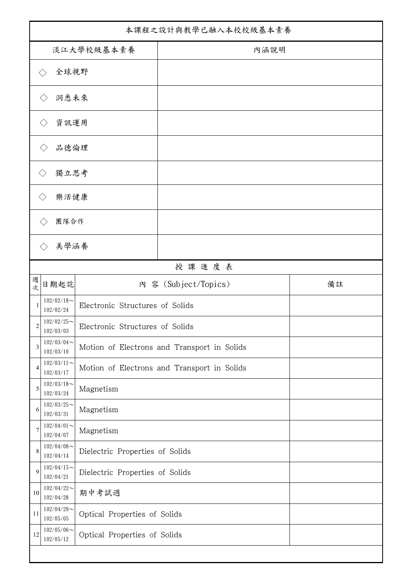| 本課程之設計與教學已融入本校校級基本素養        |                             |                                 |                                             |    |  |
|-----------------------------|-----------------------------|---------------------------------|---------------------------------------------|----|--|
| 淡江大學校級基本素養                  |                             |                                 | 內涵說明                                        |    |  |
| 全球視野                        |                             |                                 |                                             |    |  |
| 洞悉未來<br>$\langle \ \rangle$ |                             |                                 |                                             |    |  |
|                             | 資訊運用                        |                                 |                                             |    |  |
|                             | 品德倫理                        |                                 |                                             |    |  |
|                             | 獨立思考<br>$\langle$ $\rangle$ |                                 |                                             |    |  |
|                             | 樂活健康                        |                                 |                                             |    |  |
|                             | 團隊合作                        |                                 |                                             |    |  |
|                             | 美學涵養                        |                                 |                                             |    |  |
|                             |                             |                                 | 授課進度表                                       |    |  |
| 週<br>次                      | 日期起訖                        |                                 | 內 容 (Subject/Topics)                        | 備註 |  |
| 1                           | $102/02/18$ ~<br>102/02/24  | Electronic Structures of Solids |                                             |    |  |
| 2                           | $102/02/25$ ~<br>102/03/03  | Electronic Structures of Solids |                                             |    |  |
| 3                           | $102/03/04$ ~<br>102/03/10  |                                 | Motion of Electrons and Transport in Solids |    |  |
| $\overline{4}$              | $102/03/11$ ~<br>102/03/17  |                                 | Motion of Electrons and Transport in Solids |    |  |
| 5                           | $102/03/18$ ~<br>102/03/24  | Magnetism                       |                                             |    |  |
| 6                           | $102/03/25$ ~<br>102/03/31  | Magnetism                       |                                             |    |  |
| 7                           | $102/04/01$ ~<br>102/04/07  | Magnetism                       |                                             |    |  |
| 8                           | $102/04/08$ ~<br>102/04/14  | Dielectric Properties of Solids |                                             |    |  |
| $\mathbf Q$                 | $102/04/15$ ~<br>102/04/21  | Dielectric Properties of Solids |                                             |    |  |
| 10                          | $102/04/22$ ~<br>102/04/28  | 期中考試週                           |                                             |    |  |
| 11                          | $102/04/29$ ~<br>102/05/05  | Optical Properties of Solids    |                                             |    |  |
| 12                          | $102/05/06$ ~<br>102/05/12  | Optical Properties of Solids    |                                             |    |  |
|                             |                             |                                 |                                             |    |  |